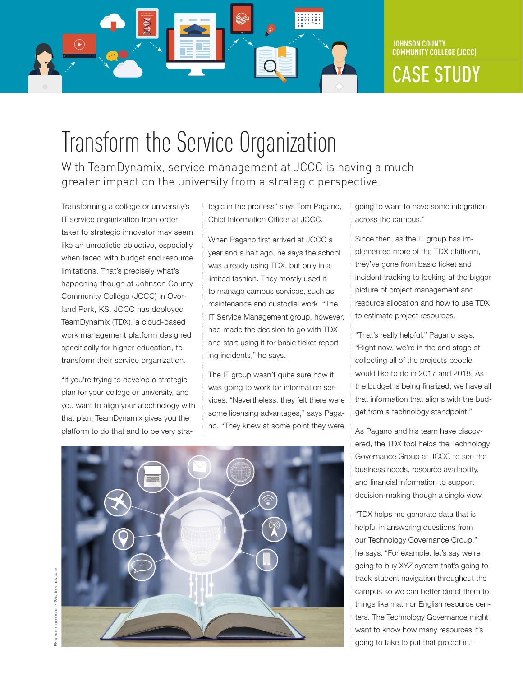

CASE STUDY

# Transform the Service Organization

With TeamDynamix, service management at JCCC is having a much greater impact on the university from a strategic perspective.

Transforming a college or university's IT service organization from order taker to strategic innovator may seem like an unrealistic objective, especially when faced with budget and resource limitations. That's precisely what's happening though at Johnson County Community College (JCCC) in Overland Park, KS. JCCC has deployed TeamDynamix (TDX), a cloud-based work management platform designed specifically for higher education, to transform their service organization.

"If you're trying to develop a strategic plan for your college or university, and you want to align your atechnology with that plan, TeamDynamix gives you the platform to do that and to be very strategic in the process" says Tom Pagano, Chief Information Officer at JCCC.

When Pagano first arrived at JCCC a year and a half ago, he says the school was already using TDX, but only in a limited fashion. They mostly used it to manage campus services, such as maintenance and custodial work. "The IT Service Management group, however, had made the decision to go with TDX and start using it for basic ticket reporting incidents," he says.

The IT group wasn't quite sure how it was going to work for information services. "Nevertheless, they felt there were some licensing advantages," says Pagano. "They knew at some point they were

going to want to have some integration across the campus."

Since then, as the IT group has implemented more of the TDX platform, they've gone from basic ticket and incident tracking to looking at the bigger picture of project management and resource allocation and how to use TDX to estimate project resources.

"That's really helpful," Pagano says. "Right now, we're in the end stage of collecting all of the projects people would like to do in 2017 and 2018. As the budget is being finalized, we have all that information that aligns with the budget from a technology standpoint."

As Pagano and his team have discovered, the TDX tool helps the Technology Governance Group at JCCC to see the business needs, resource availability, and financial information to support decision-making though a single view.

"TDX helps me generate data that is helpful in answering questions from our Technology Governance Group," he says. "For example, let's say we're going to buy XYZ system that's going to track student navigation throughout the campus so we can better direct them to things like math or English resource centers. The Technology Governance might want to know how many resources it's going to take to put that project in."